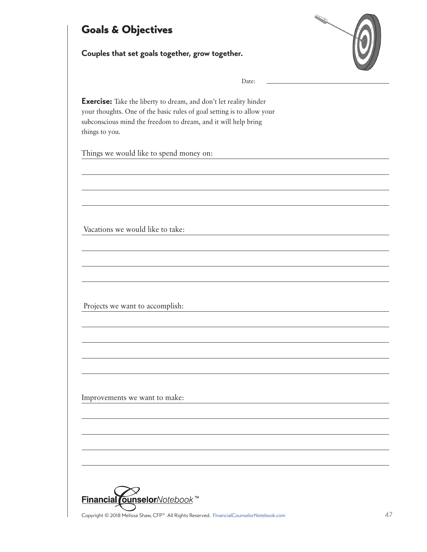## Goals & Objectives

**Couples that set goals together, grow together.**



Date:

**Exercise:** Take the liberty to dream, and don't let reality hinder your thoughts. One of the basic rules of goal setting is to allow your subconscious mind the freedom to dream, and it will help bring things to you.

Things we would like to spend money on:

Vacations we would like to take:

Projects we want to accomplish:

Improvements we want to make:



Copyright © 2018 Melissa Shaw, CFP® All Rights Reserved. [FinancialCounselorNotebook.com](http://www.financialcounselornotebook.com) 47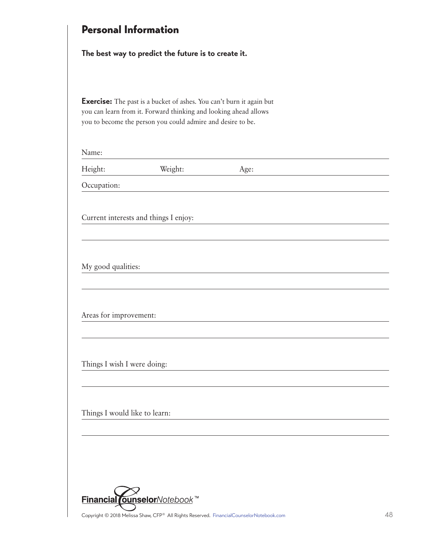| <b>Personal Information</b>                                                                                                                                                                                    |                                                     |      |  |  |  |  |
|----------------------------------------------------------------------------------------------------------------------------------------------------------------------------------------------------------------|-----------------------------------------------------|------|--|--|--|--|
|                                                                                                                                                                                                                | The best way to predict the future is to create it. |      |  |  |  |  |
| <b>Exercise:</b> The past is a bucket of ashes. You can't burn it again but<br>you can learn from it. Forward thinking and looking ahead allows<br>you to become the person you could admire and desire to be. |                                                     |      |  |  |  |  |
| Name:                                                                                                                                                                                                          |                                                     |      |  |  |  |  |
| Height:                                                                                                                                                                                                        | Weight:                                             | Age: |  |  |  |  |
| Occupation:                                                                                                                                                                                                    |                                                     |      |  |  |  |  |
| My good qualities:                                                                                                                                                                                             |                                                     |      |  |  |  |  |
| Areas for improvement:                                                                                                                                                                                         |                                                     |      |  |  |  |  |
|                                                                                                                                                                                                                |                                                     |      |  |  |  |  |
| Things I wish I were doing:                                                                                                                                                                                    |                                                     |      |  |  |  |  |
|                                                                                                                                                                                                                |                                                     |      |  |  |  |  |
| Things I would like to learn:                                                                                                                                                                                  |                                                     |      |  |  |  |  |
|                                                                                                                                                                                                                |                                                     |      |  |  |  |  |
|                                                                                                                                                                                                                |                                                     |      |  |  |  |  |
|                                                                                                                                                                                                                |                                                     |      |  |  |  |  |
|                                                                                                                                                                                                                |                                                     |      |  |  |  |  |

Copyright © 2018 Melissa Shaw, CFP® All Rights Reserved. [FinancialCounselorNotebook.com](http://www.financialcounselornotebook.com) 48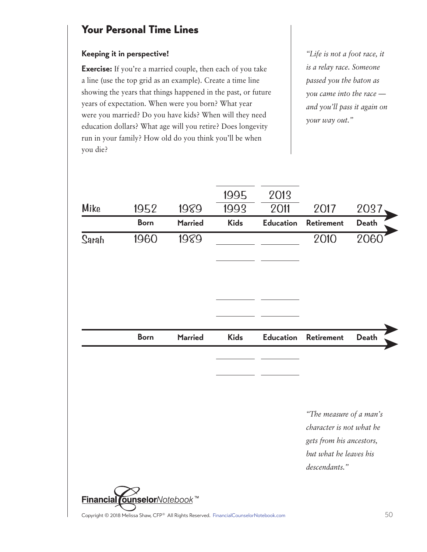## Your Personal Time Lines

## **Keeping it in perspective!**

**Exercise:** If you're a married couple, then each of you take a line (use the top grid as an example). Create a time line showing the years that things happened in the past, or future years of expectation. When were you born? What year were you married? Do you have kids? When will they need education dollars? What age will you retire? Does longevity run in your family? How old do you think you'll be when you die?

*"Life is not a foot race, it is a relay race. Someone passed you the baton as you came into the race and you'll pass it again on your way out."*

|       |             |                | 1995        | 2013             |                                                                                 |              |
|-------|-------------|----------------|-------------|------------------|---------------------------------------------------------------------------------|--------------|
| Mike  | 1952        | 1989           | 1993        | 2011             | 2017                                                                            | 2037         |
|       | <b>Born</b> | <b>Married</b> | <b>Kids</b> | <b>Education</b> | <b>Retirement</b>                                                               | <b>Death</b> |
| Sarah | 1960        | 1989           |             |                  | 2010                                                                            | 2060         |
|       |             |                |             |                  |                                                                                 |              |
|       | <b>Born</b> | <b>Married</b> | <b>Kids</b> | <b>Education</b> | <b>Retirement</b>                                                               | <b>Death</b> |
|       |             |                |             |                  |                                                                                 |              |
|       |             |                |             |                  | "The measure of a man's<br>character is not what he<br>gets from his ancestors, |              |
|       |             |                |             |                  | but what he leaves his<br>descendants."                                         |              |